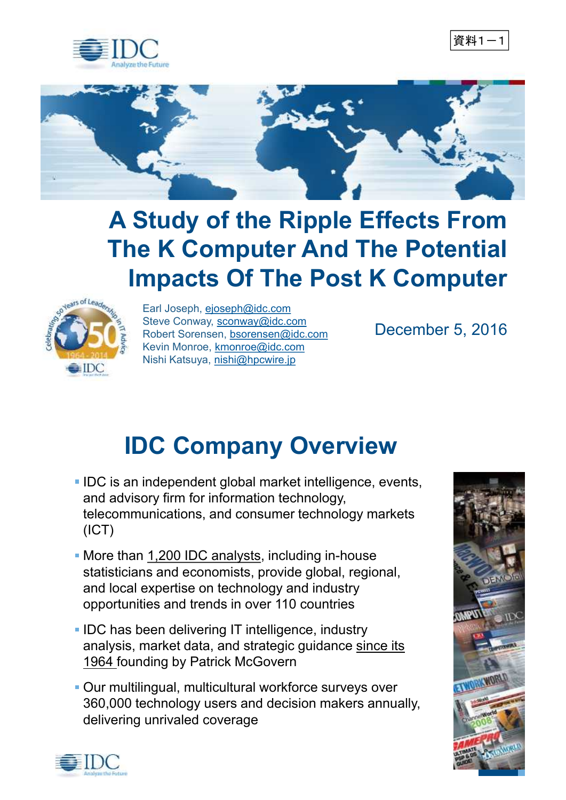





## **A Study of the Ripple Effects From The K Computer And The Potential Impacts Of The Post K Computer**



Earl Joseph, ejoseph@idc.com Steve Conway, sconway@idc.com Robert Sorensen, bsorensen@idc.com Kevin Monroe, kmonroe@idc.com Nishi Katsuya, nishi@hpcwire.jp

December 5, 2016

## **IDC Company Overview**

- **IDC** is an independent global market intelligence, events, and advisory firm for information technology, telecommunications, and consumer technology markets (ICT)
- More than 1,200 IDC analysts, including in-house statisticians and economists, provide global, regional, and local expertise on technology and industry opportunities and trends in over 110 countries
- **IDC has been delivering IT intelligence, industry** analysis, market data, and strategic guidance since its 1964 founding by Patrick McGovern
- Our multilingual, multicultural workforce surveys over 360,000 technology users and decision makers annually, delivering unrivaled coverage



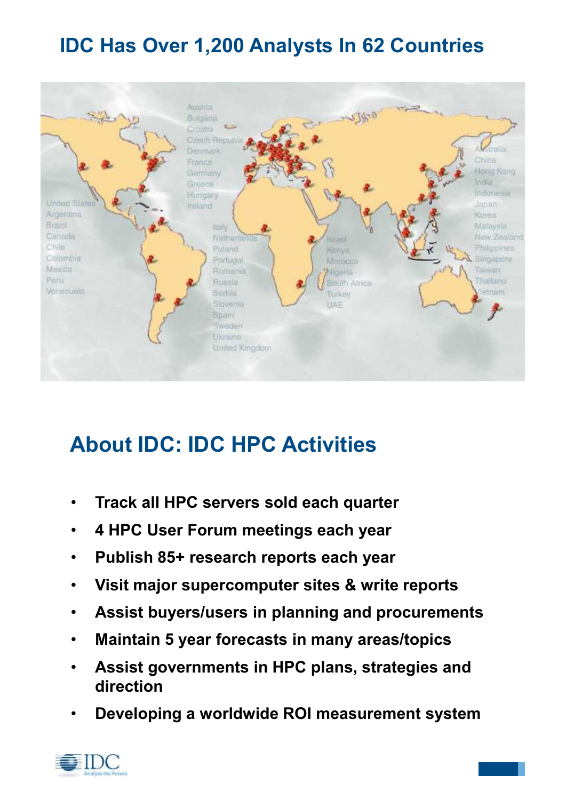#### **IDC Has Over 1,200 Analysts In 62 Countries**



### **About IDC: IDC HPC Activities**

- **Track all HPC servers sold each quarter**
- **4 HPC User Forum meetings each year**
- **Publish 85+ research reports each year**
- **Visit major supercomputer sites & write reports**
- **Assist buyers/users in planning and procurements**
- **Maintain 5 year forecasts in many areas/topics**
- **Assist governments in HPC plans, strategies and direction**
- **Developing a worldwide ROI measurement system**

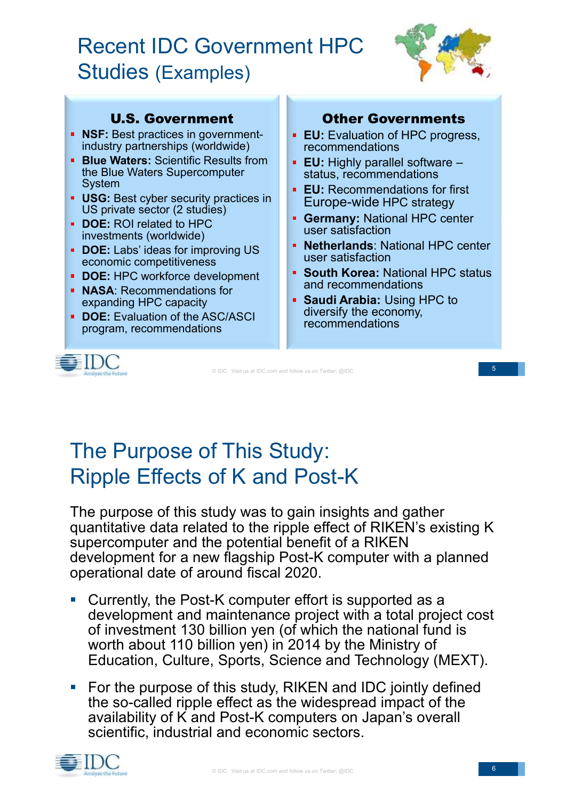### Recent IDC Government HPC Studies (Examples)



#### U.S. Government

- **NSF:** Best practices in governmentindustry partnerships (worldwide)
- **Blue Waters: Scientific Results from** the Blue Waters Supercomputer System
- **USG:** Best cyber security practices in US private sector (2 studies)
- **DOE:** ROI related to HPC investments (worldwide)
- **DOE:** Labs' ideas for improving US economic competitiveness
- **DOE:** HPC workforce development
- **NASA: Recommendations for** expanding HPC capacity
- **DOE:** Evaluation of the ASC/ASCI program, recommendations



#### Other Governments

- **EU:** Evaluation of HPC progress, recommendations
- **EU:** Highly parallel software status, recommendations
- **EU:** Recommendations for first Europe-wide HPC strategy
- **Germany: National HPC center** user satisfaction
- **Netherlands**: National HPC center user satisfaction
- **South Korea: National HPC status** and recommendations
- **Saudi Arabia:** Using HPC to diversify the economy, recommendations

© IDC Visit us at IDC.com and follow us on Twitter: @IDC

5

### The Purpose of This Study: Ripple Effects of K and Post-K

The purpose of this study was to gain insights and gather quantitative data related to the ripple effect of RIKEN's existing K supercomputer and the potential benefit of a RIKEN development for a new flagship Post-K computer with a planned operational date of around fiscal 2020.

- Currently, the Post-K computer effort is supported as a development and maintenance project with a total project cost of investment 130 billion yen (of which the national fund is worth about 110 billion yen) in 2014 by the Ministry of Education, Culture, Sports, Science and Technology (MEXT).
- For the purpose of this study, RIKEN and IDC jointly defined  $\overline{\phantom{a}}$ the so-called ripple effect as the widespread impact of the availability of K and Post-K computers on Japan's overall scientific, industrial and economic sectors.

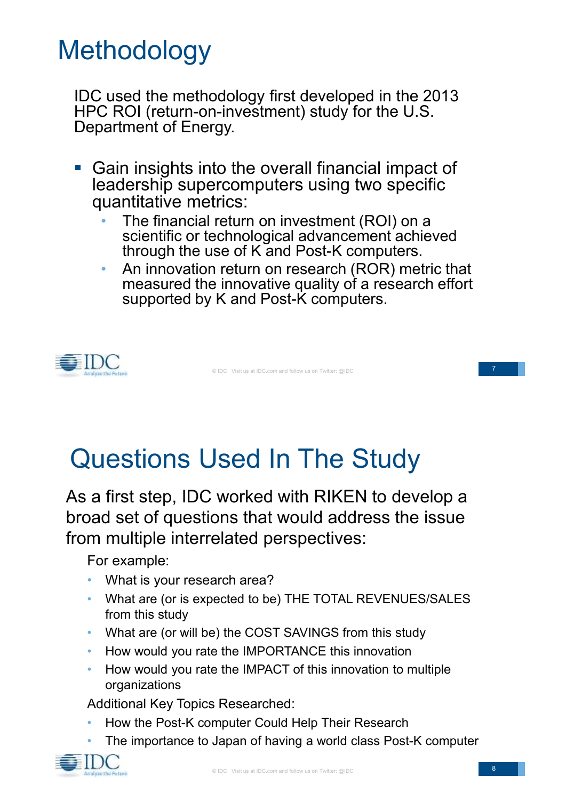# **Methodology**

IDC used the methodology first developed in the 2013 HPC ROI (return-on-investment) study for the U.S. Department of Energy.

- Gain insights into the overall financial impact of leadership supercomputers using two specific quantitative metrics:
	- The financial return on investment (ROI) on a scientific or technological advancement achieved through the use of K and Post-K computers.
	- An innovation return on research (ROR) metric that measured the innovative quality of a research effort supported by K and Post-K computers.



© IDC Visit us at IDC.com and follow us on Twitter: @IDC

# Questions Used In The Study

As a first step, IDC worked with RIKEN to develop a broad set of questions that would address the issue from multiple interrelated perspectives:

For example:

- What is your research area?
- What are (or is expected to be) THE TOTAL REVENUES/SALES from this study
- What are (or will be) the COST SAVINGS from this study
- How would you rate the IMPORTANCE this innovation
- How would you rate the IMPACT of this innovation to multiple organizations

Additional Key Topics Researched:

- How the Post-K computer Could Help Their Research
- The importance to Japan of having a world class Post-K computer

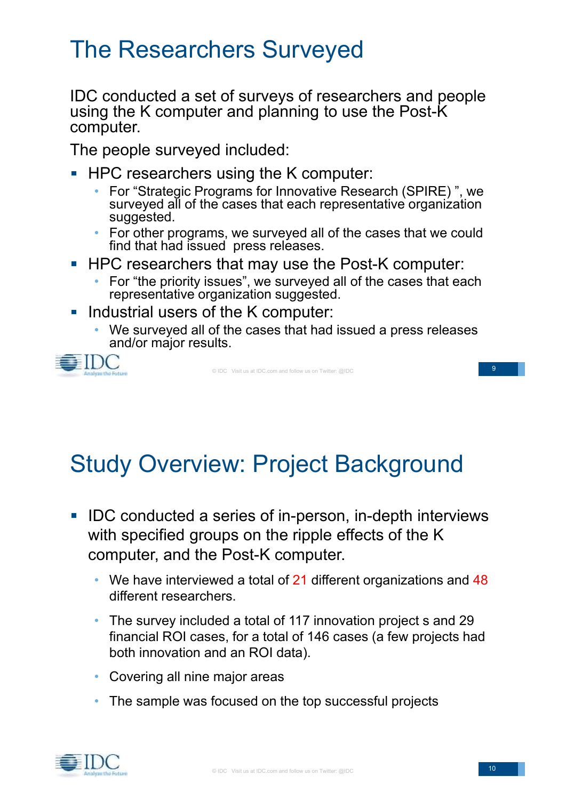### The Researchers Surveyed

IDC conducted a set of surveys of researchers and people using the K computer and planning to use the Post-K computer.

The people surveyed included:

- HPC researchers using the K computer:
	- For "Strategic Programs for Innovative Research (SPIRE) ", we surveyed all of the cases that each representative organization suggested.
	- For other programs, we surveyed all of the cases that we could find that had issued press releases.
- HPC researchers that may use the Post-K computer:
	- For "the priority issues", we surveyed all of the cases that each representative organization suggested.
- Industrial users of the K computer:
	- We surveyed all of the cases that had issued a press releases and/or major results.



© IDC Visit us at IDC.com and follow us on Twitter: @IDC

9

## Study Overview: Project Background

- IDC conducted a series of in-person, in-depth interviews  $\mathbb{R}^n$ with specified groups on the ripple effects of the K computer, and the Post-K computer.
	- We have interviewed a total of  $21$  different organizations and  $48$ different researchers.
	- The survey included a total of 117 innovation project s and 29 financial ROI cases, for a total of 146 cases (a few projects had both innovation and an ROI data).
	- Covering all nine major areas
	- The sample was focused on the top successful projects

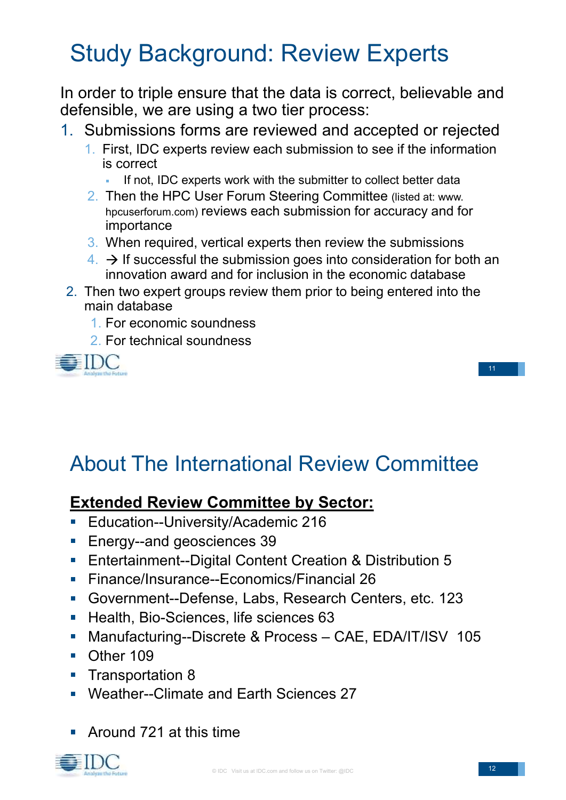## Study Background: Review Experts

In order to triple ensure that the data is correct, believable and defensible, we are using a two tier process:

- 1. Submissions forms are reviewed and accepted or rejected
	- 1. First, IDC experts review each submission to see if the information is correct
		- If not, IDC experts work with the submitter to collect better data
	- 2. Then the HPC User Forum Steering Committee (listed at: www. hpcuserforum.com) reviews each submission for accuracy and for importance
	- 3. When required, vertical experts then review the submissions
	- $4. \rightarrow$  If successful the submission goes into consideration for both an innovation award and for inclusion in the economic database
- 2. Then two expert groups review them prior to being entered into the main database
	- 1. For economic soundness
	- 2. For technical soundness



### About The International Review Committee

#### **Extended Review Committee by Sector:**

- Education--University/Academic 216
- Energy--and geosciences 39  $\overline{\phantom{a}}$
- Entertainment--Digital Content Creation & Distribution 5  $\overline{\phantom{a}}$
- Finance/Insurance--Economics/Financial 26  $\overline{\phantom{a}}$
- Government--Defense, Labs, Research Centers, etc. 123  $\overline{\phantom{a}}$
- Health, Bio-Sciences, life sciences 63
- Manufacturing--Discrete & Process CAE, EDA/IT/ISV 105  $\overline{\phantom{a}}$
- Other 109
- Transportation 8  $\mathcal{L}_{\mathcal{A}}$
- Weather--Climate and Earth Sciences 27
- Around 721 at this time

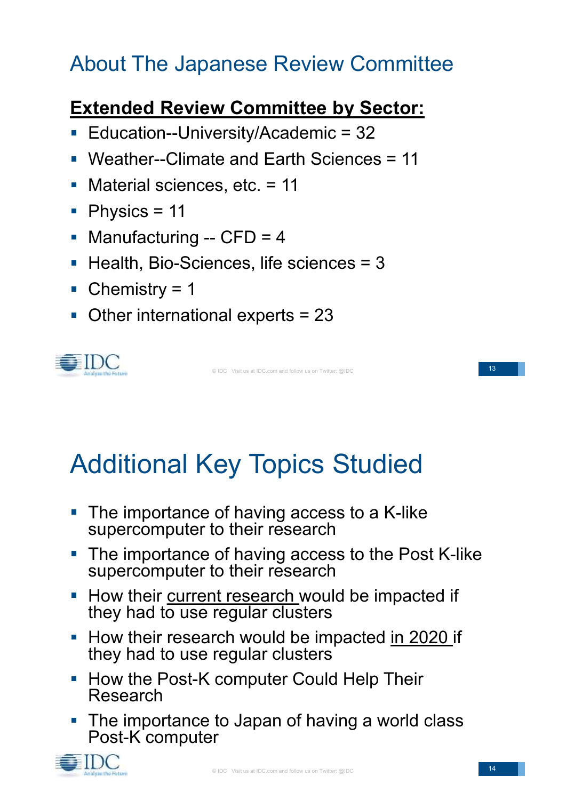### About The Japanese Review Committee

#### **Extended Review Committee by Sector:**

- Education--University/Academic = 32
- Weather--Climate and Earth Sciences = 11
- Material sciences, etc. = 11  $\mathbb{Z}^2$
- $\blacksquare$  Physics = 11
- Manufacturing -- CFD = 4  $\mathcal{L}_{\mathcal{A}}$
- Health, Bio-Sciences, life sciences = 3
- $\blacksquare$  Chemistry = 1
- Other international experts = 23



© IDC Visit us at IDC.com and follow us on Twitter: @IDC

# Additional Key Topics Studied

- The importance of having access to a K-like supercomputer to their research
- The importance of having access to the Post K-like supercomputer to their research
- **How their current research would be impacted if** they had to use regular clusters
- How their research would be impacted in 2020 if they had to use regular clusters
- **How the Post-K computer Could Help Their** Research
- The importance to Japan of having a world class Post-K computer



13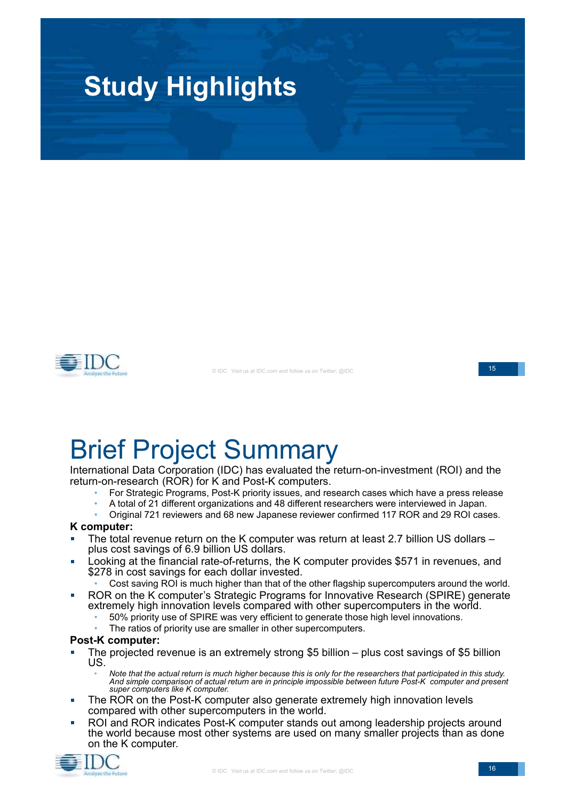



© IDC Visit us at IDC.com and follow us on Twitter: @IDC

15

# Brief Project Summary

International Data Corporation (IDC) has evaluated the return-on-investment (ROI) and the return-on-research (ROR) for K and Post-K computers.

- For Strategic Programs, Post-K priority issues, and research cases which have a press release
- A total of 21 different organizations and 48 different researchers were interviewed in Japan.
- Original 721 reviewers and 68 new Japanese reviewer confirmed 117 ROR and 29 ROI cases.

#### **K computer:**

- The total revenue return on the K computer was return at least 2.7 billion US dollars plus cost savings of 6.9 billion US dollars.
- Looking at the financial rate-of-returns, the K computer provides \$571 in revenues, and  $\overline{\phantom{a}}$ \$278 in cost savings for each dollar invested.
	- Cost saving ROI is much higher than that of the other flagship supercomputers around the world.
- ROR on the K computer's Strategic Programs for Innovative Research (SPIRE) generate  $\overline{\phantom{a}}$ extremely high innovation levels compared with other supercomputers in the world.
	- 50% priority use of SPIRE was very efficient to generate those high level innovations.
	- The ratios of priority use are smaller in other supercomputers.

#### **Post-K computer:**

- The projected revenue is an extremely strong \$5 billion plus cost savings of \$5 billion US.
	- Note that the actual return is much higher because this is only for the researchers that participated in this study. *And simple comparison of actual return are in principle impossible between future Post-K computer and present super computers like K computer.*
- The ROR on the Post-K computer also generate extremely high innovation levels × compared with other supercomputers in the world.
- ROI and ROR indicates Post-K computer stands out among leadership projects around the world because most other systems are used on many smaller projects than as done on the K computer.

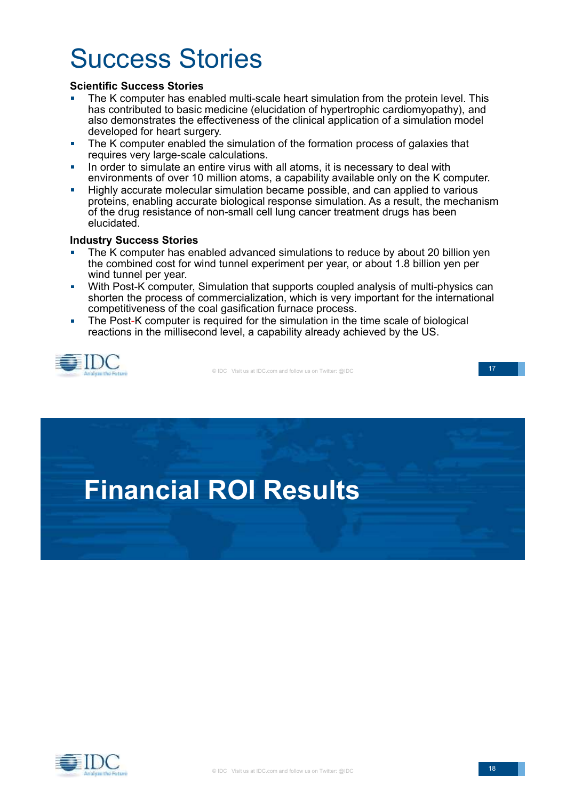# Success Stories

#### **Scientific Success Stories**

- The K computer has enabled multi-scale heart simulation from the protein level. This has contributed to basic medicine (elucidation of hypertrophic cardiomyopathy), and also demonstrates the effectiveness of the clinical application of a simulation model developed for heart surgery.
- The K computer enabled the simulation of the formation process of galaxies that  $\blacksquare$ requires very large-scale calculations.
- In order to simulate an entire virus with all atoms, it is necessary to deal with  $\overline{\phantom{a}}$ environments of over 10 million atoms, a capability available only on the K computer.
- Highly accurate molecular simulation became possible, and can applied to various  $\overline{\phantom{a}}$ proteins, enabling accurate biological response simulation. As a result, the mechanism of the drug resistance of non-small cell lung cancer treatment drugs has been elucidated.

#### **Industry Success Stories**

- The K computer has enabled advanced simulations to reduce by about 20 billion yen the combined cost for wind tunnel experiment per year, or about 1.8 billion yen per wind tunnel per year.
- With Post-K computer, Simulation that supports coupled analysis of multi-physics can  $\mathbf{m}$ shorten the process of commercialization, which is very important for the international competitiveness of the coal gasification furnace process.
- The Post-K computer is required for the simulation in the time scale of biological  $\blacksquare$ reactions in the millisecond level, a capability already achieved by the US.



© IDC Visit us at IDC.com and follow us on Twitter: @IDC

17



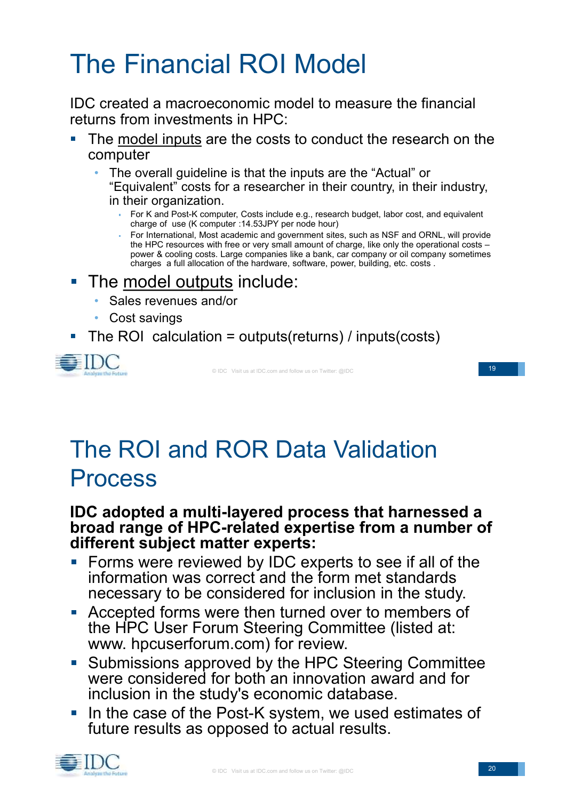# The Financial ROI Model

IDC created a macroeconomic model to measure the financial returns from investments in HPC:

- The model inputs are the costs to conduct the research on the computer
	- The overall guideline is that the inputs are the "Actual" or "Equivalent" costs for a researcher in their country, in their industry, in their organization.
		- For K and Post-K computer, Costs include e.g., research budget, labor cost, and equivalent charge of use (K computer :14.53JPY per node hour)
		- For International, Most academic and government sites, such as NSF and ORNL, will provide the HPC resources with free or very small amount of charge, like only the operational costs – power & cooling costs. Large companies like a bank, car company or oil company sometimes charges a full allocation of the hardware, software, power, building, etc. costs .

#### The model outputs include:  $\mathcal{L}_{\mathcal{A}}$

- Sales revenues and/or
- Cost savings
- The ROI calculation = outputs(returns) / inputs(costs)



© IDC Visit us at IDC.com and follow us on Twitter: @IDC

19

## The ROI and ROR Data Validation Process

#### **IDC adopted a multi-layered process that harnessed a broad range of HPC-related expertise from a number of different subject matter experts:**

- **Forms were reviewed by IDC experts to see if all of the** information was correct and the form met standards necessary to be considered for inclusion in the study.
- Accepted forms were then turned over to members of  $\mathbb{Z}^{\mathbb{Z}}$ the HPC User Forum Steering Committee (listed at: www. hpcuserforum.com) for review.
- **Submissions approved by the HPC Steering Committee** were considered for both an innovation award and for inclusion in the study's economic database.
- In the case of the Post-K system, we used estimates of  $\mathcal{L}_{\mathcal{A}}$ future results as opposed to actual results.

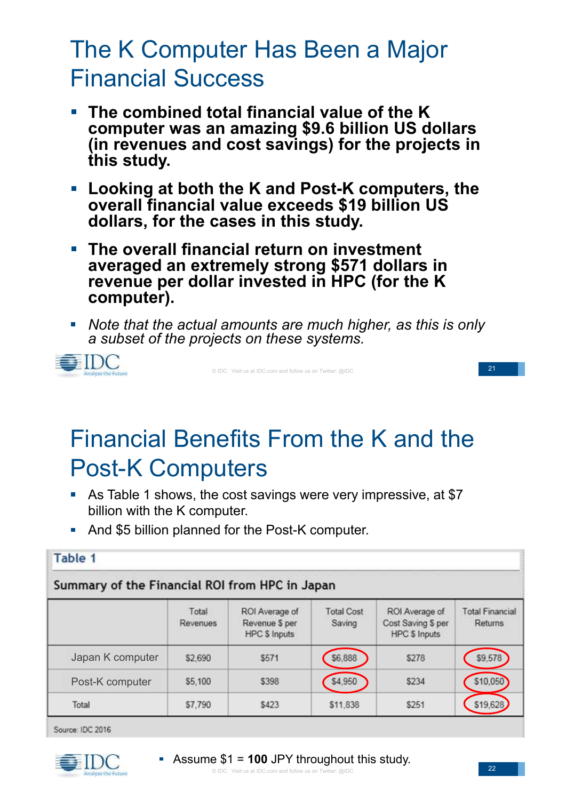## The K Computer Has Been a Major Financial Success

- **The combined total financial value of the K computer was an amazing \$9.6 billion US dollars (in revenues and cost savings) for the projects in this study.**
- **Looking at both the K and Post-K computers, the overall financial value exceeds \$19 billion US dollars, for the cases in this study.**
- **The overall financial return on investment averaged an extremely strong \$571 dollars in revenue per dollar invested in HPC (for the K computer).**
- *Note that the actual amounts are much higher, as this is only a subset of the projects on these systems.*



© IDC Visit us at IDC.com and follow us on Twitter: @IDC

21

## Financial Benefits From the K and the Post-K Computers

- As Table 1 shows, the cost savings were very impressive, at \$7 billion with the K computer.
- And \$5 billion planned for the Post-K computer.

| Table 1                                                                                                                                                                                                                                                                                                                                                                                                                                                                                                                |                   |                                                          |                             |                                                              |                                   |  |
|------------------------------------------------------------------------------------------------------------------------------------------------------------------------------------------------------------------------------------------------------------------------------------------------------------------------------------------------------------------------------------------------------------------------------------------------------------------------------------------------------------------------|-------------------|----------------------------------------------------------|-----------------------------|--------------------------------------------------------------|-----------------------------------|--|
| the company of the company of the company of the company of the company of the company of the company of the company of the company of the company of the company of the company of the company of the company of the company<br>mission and the contract of the contract of the contract of the contract of the contract of the contract of the<br>and the control of the control of the control of the control of the control of the control of the control of the<br>Summary of the Financial ROI from HPC in Japan |                   |                                                          |                             |                                                              |                                   |  |
|                                                                                                                                                                                                                                                                                                                                                                                                                                                                                                                        | Total<br>Revenues | ROI Average of<br>Revenue \$ per<br><b>HPC \$ Inputs</b> | <b>Total Cost</b><br>Saving | ROI Average of<br>Cost Saving \$ per<br><b>HPC \$ Inputs</b> | <b>Total Financial</b><br>Returns |  |
| Japan K computer                                                                                                                                                                                                                                                                                                                                                                                                                                                                                                       | \$2,690           | \$571                                                    | \$6,888                     | \$278                                                        | \$9,578                           |  |
| Post-K computer                                                                                                                                                                                                                                                                                                                                                                                                                                                                                                        | \$5,100           | \$398                                                    | \$4.950                     | \$234                                                        | \$10.050                          |  |
| Total                                                                                                                                                                                                                                                                                                                                                                                                                                                                                                                  | \$7.790           | \$423                                                    | \$11,838                    | \$251                                                        | \$19,628                          |  |

Source: IDC 2016

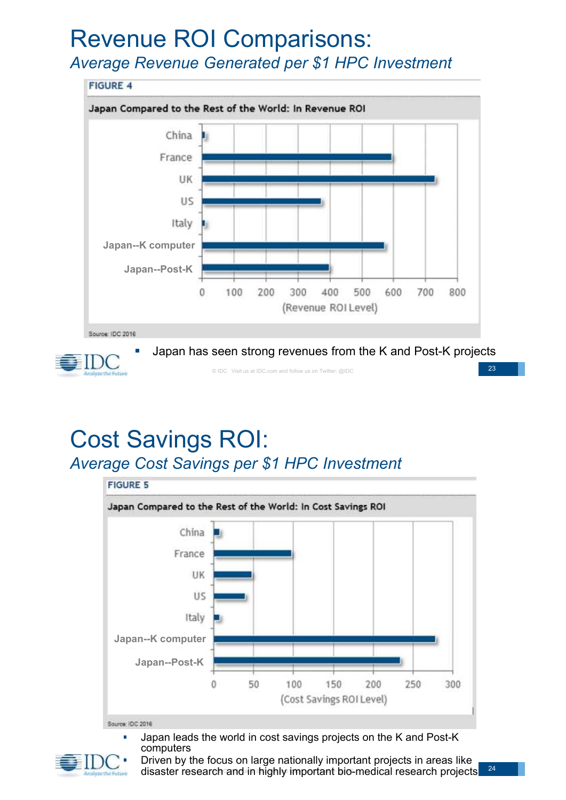# Revenue ROI Comparisons:

*Average Revenue Generated per \$1 HPC Investment*





Japan has seen strong revenues from the K and Post-K projects

© IDC Visit us at IDC.com and follow us on Twitter: @IDC

23

#### Cost Savings ROI: *Average Cost Savings per \$1 HPC Investment*



Source: IDC 2016

Japan leads the world in cost savings projects on the K and Post-K computers



disaster research and in highly important bio-medical research projects Driven by the focus on large nationally important projects in areas like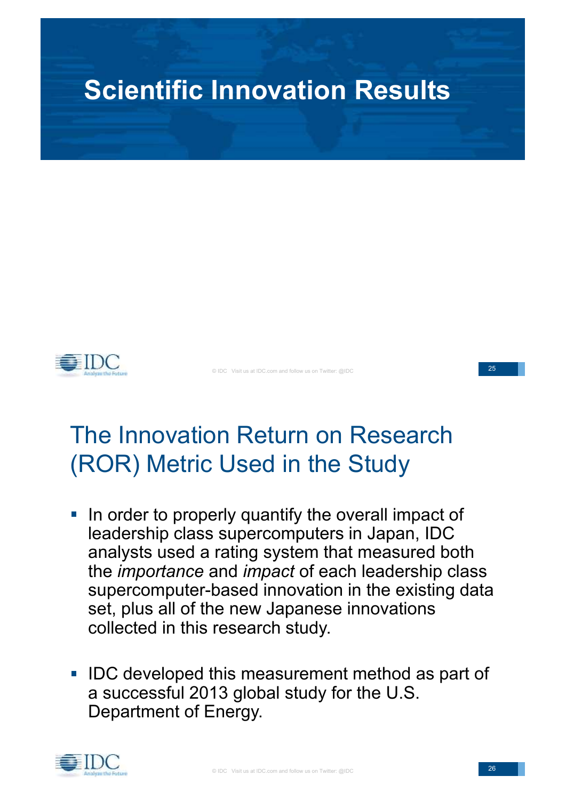



© IDC Visit us at IDC.com and follow us on Twitter: @IDC

#### 25

## The Innovation Return on Research (ROR) Metric Used in the Study

- **In order to properly quantify the overall impact of** leadership class supercomputers in Japan, IDC analysts used a rating system that measured both the *importance* and *impact* of each leadership class supercomputer-based innovation in the existing data set, plus all of the new Japanese innovations collected in this research study.
- **IDC developed this measurement method as part of** a successful 2013 global study for the U.S. Department of Energy.

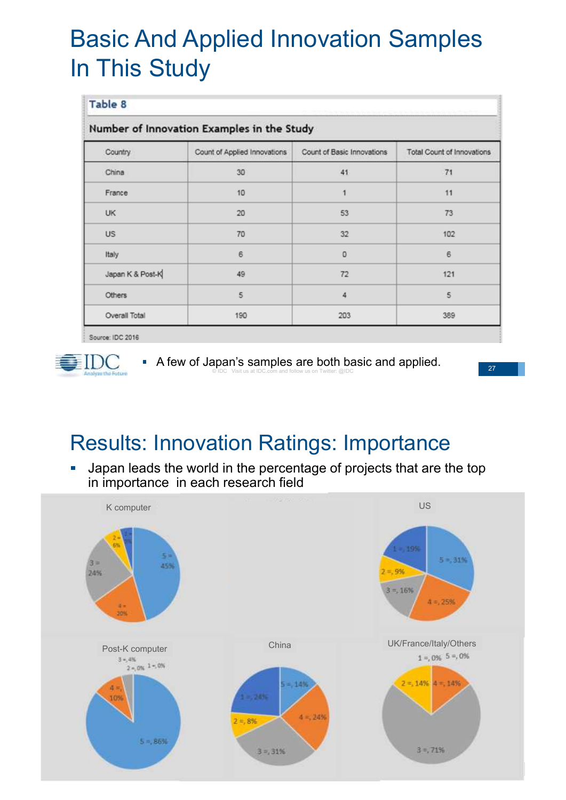## Basic And Applied Innovation Samples In This Study

| Number of Innovation Examples in the Study |                              |                            |                                   |  |  |
|--------------------------------------------|------------------------------|----------------------------|-----------------------------------|--|--|
| Country                                    | Count of Applied Innovations | Count of Basic Innovations | <b>Total Count of Innovations</b> |  |  |
| China                                      | 30                           | 41                         | 71                                |  |  |
| France                                     | 10                           | 1                          | 11                                |  |  |
| <b>UK</b>                                  | 20                           | 53                         | 73                                |  |  |
| <b>US</b>                                  | 70                           | 32                         | 102                               |  |  |
| Italy                                      | 6                            | $\Omega$                   | 6                                 |  |  |
| Japan K & Post-K                           | 49                           | 72                         | 121                               |  |  |
| Others                                     | 5                            | 4                          | 5                                 |  |  |
| Overall Total                              | 190                          | 203                        | 389                               |  |  |

Source: IDC 2016

Ì.



© IDC Visit us at IDC.com and follow us on Twitter: @IDC A few of Japan's samples are both basic and applied.

27

### Results: Innovation Ratings: Importance

Japan leads the world in the percentage of projects that are the top  $\mathcal{L}_{\mathcal{A}}$ in importance in each research field

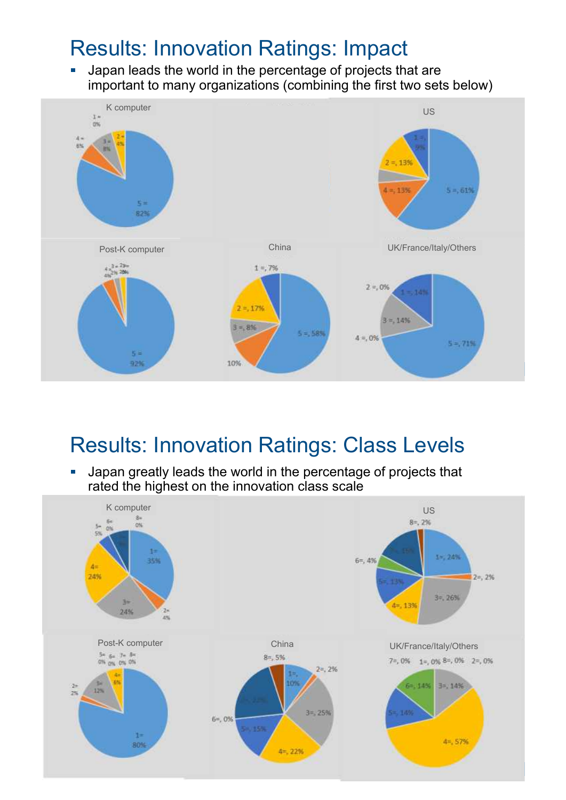#### Results: Innovation Ratings: Impact

Japan leads the world in the percentage of projects that are  $\overline{\phantom{a}}$ important to many organizations (combining the first two sets below)



#### Results: Innovation Ratings: Class Levels

Japan greatly leads the world in the percentage of projects that Ē. rated the highest on the innovation class scale

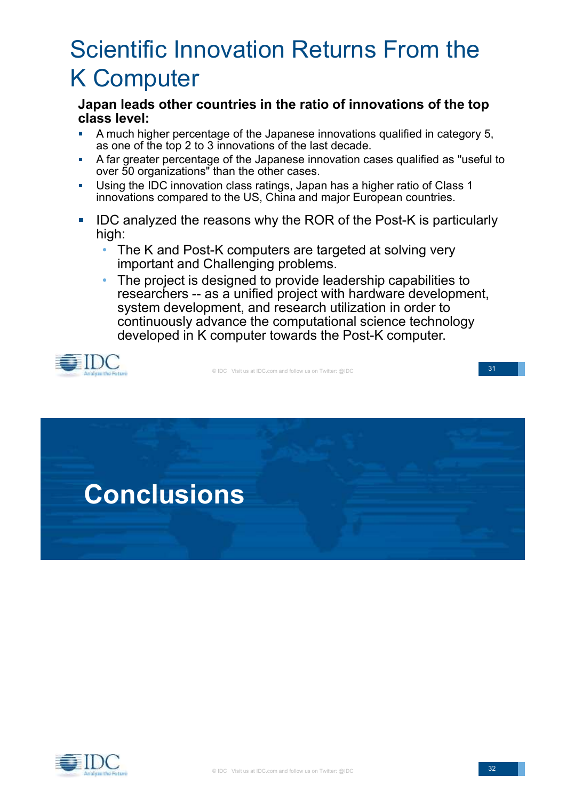## Scientific Innovation Returns From the K Computer

**Japan leads other countries in the ratio of innovations of the top class level:**

- A much higher percentage of the Japanese innovations qualified in category 5, as one of the top 2 to 3 innovations of the last decade.
- A far greater percentage of the Japanese innovation cases qualified as "useful to Ħ over 50 organizations" than the other cases.
- Using the IDC innovation class ratings, Japan has a higher ratio of Class 1 É innovations compared to the US, China and major European countries.
- IDC analyzed the reasons why the ROR of the Post-K is particularly  $\Box$ high:
	- The K and Post-K computers are targeted at solving very important and Challenging problems.
	- The project is designed to provide leadership capabilities to researchers -- as a unified project with hardware development, system development, and research utilization in order to continuously advance the computational science technology developed in K computer towards the Post-K computer.



© IDC Visit us at IDC.com and follow us on Twitter: @IDC

31



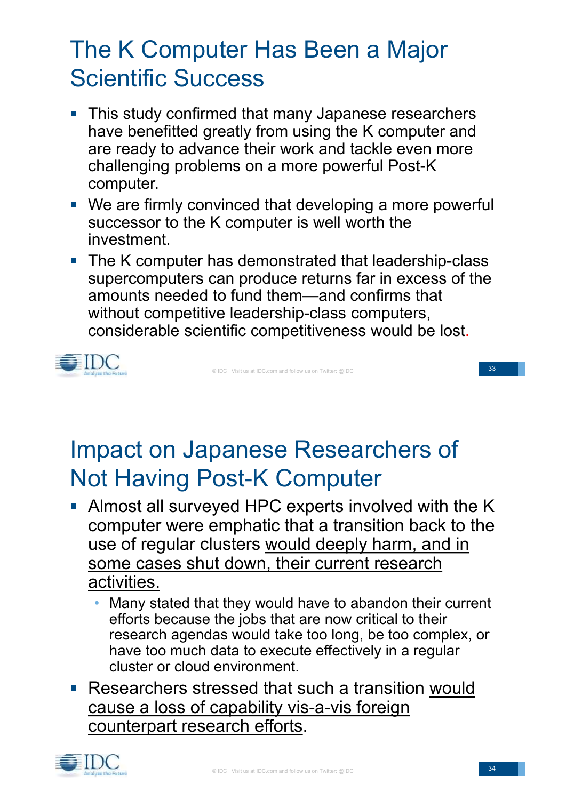## The K Computer Has Been a Major Scientific Success

- **This study confirmed that many Japanese researchers** have benefitted greatly from using the K computer and are ready to advance their work and tackle even more challenging problems on a more powerful Post-K computer.
- We are firmly convinced that developing a more powerful successor to the K computer is well worth the investment.
- The K computer has demonstrated that leadership-class supercomputers can produce returns far in excess of the amounts needed to fund them—and confirms that without competitive leadership-class computers, considerable scientific competitiveness would be lost.



© IDC Visit us at IDC.com and follow us on Twitter: @IDC

33

## Impact on Japanese Researchers of Not Having Post-K Computer

- Almost all surveyed HPC experts involved with the K computer were emphatic that a transition back to the use of regular clusters would deeply harm, and in some cases shut down, their current research activities.
	- Many stated that they would have to abandon their current efforts because the jobs that are now critical to their research agendas would take too long, be too complex, or have too much data to execute effectively in a regular cluster or cloud environment.
- Researchers stressed that such a transition would cause a loss of capability vis-a-vis foreign counterpart research efforts.

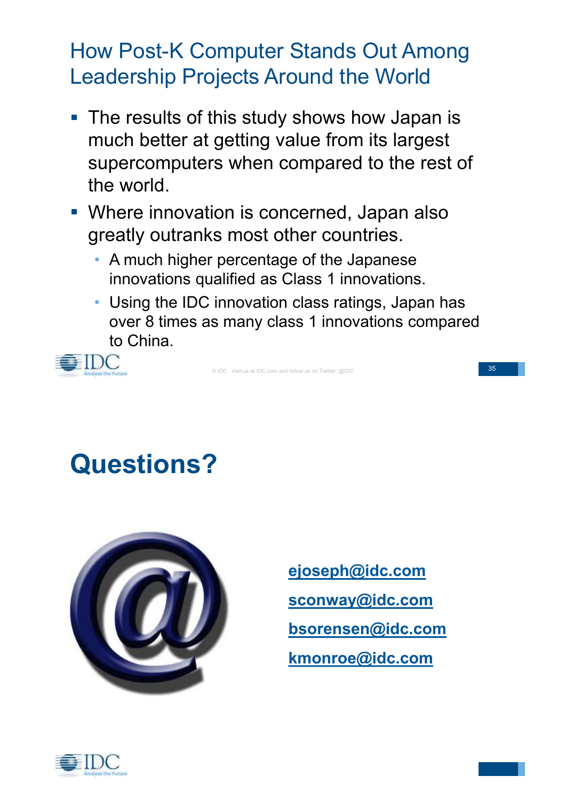#### How Post-K Computer Stands Out Among Leadership Projects Around the World

- The results of this study shows how Japan is much better at getting value from its largest supercomputers when compared to the rest of the world.
- **Where innovation is concerned, Japan also** greatly outranks most other countries.
	- A much higher percentage of the Japanese innovations qualified as Class 1 innovations.
	- Using the IDC innovation class ratings, Japan has over 8 times as many class 1 innovations compared to China.



© IDC Visit us at IDC.com and follow us on Twitter: @IDC

35

## **Questions?**



**ejoseph@idc.com sconway@idc.com bsorensen@idc.com kmonroe@idc.com**

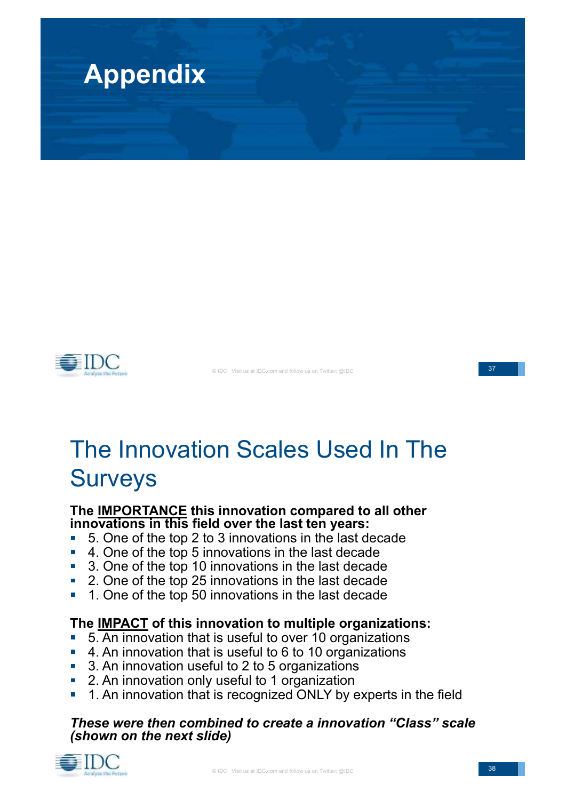



© IDC Visit us at IDC.com and follow us on Twitter: @IDC

#### 37

## The Innovation Scales Used In The Surveys

#### **The IMPORTANCE this innovation compared to all other innovations in this field over the last ten years:**

- 5. One of the top 2 to 3 innovations in the last decade  $\overline{\mathbb{R}}$
- 4. One of the top 5 innovations in the last decade
- 3. One of the top 10 innovations in the last decade
- 2. One of the top 25 innovations in the last decade  $\mathbb{Z}$
- 1. One of the top 50 innovations in the last decade

#### **The IMPACT of this innovation to multiple organizations:**

- 5. An innovation that is useful to over 10 organizations
- 4. An innovation that is useful to 6 to 10 organizations
- 3. An innovation useful to 2 to 5 organizations
- 2. An innovation only useful to 1 organization
- 1. An innovation that is recognized ONLY by experts in the field

#### *These were then combined to create a innovation "Class" scale (shown on the next slide)*

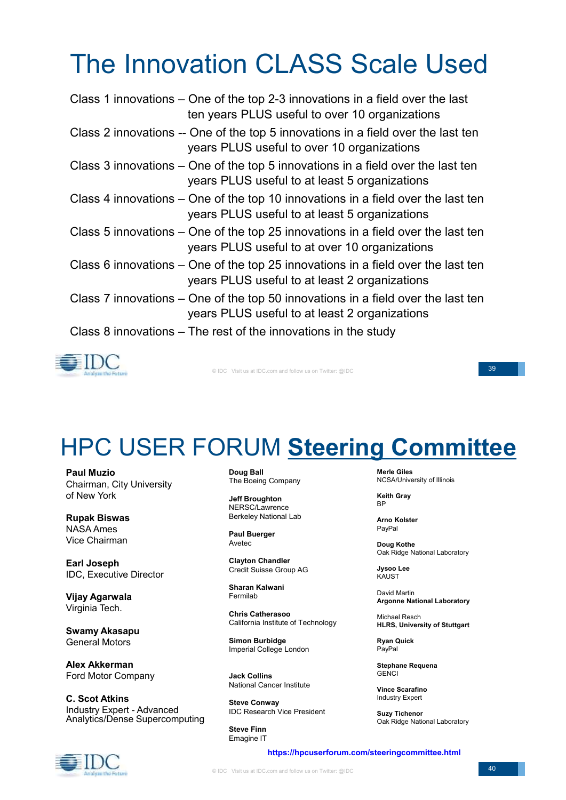# The Innovation CLASS Scale Used

| Class 1 innovations – One of the top 2-3 innovations in a field over the last<br>ten years PLUS useful to over 10 organizations   |
|-----------------------------------------------------------------------------------------------------------------------------------|
| Class 2 innovations -- One of the top 5 innovations in a field over the last ten<br>years PLUS useful to over 10 organizations    |
| Class 3 innovations – One of the top 5 innovations in a field over the last ten<br>years PLUS useful to at least 5 organizations  |
| Class 4 innovations – One of the top 10 innovations in a field over the last ten<br>years PLUS useful to at least 5 organizations |
| Class 5 innovations – One of the top 25 innovations in a field over the last ten<br>years PLUS useful to at over 10 organizations |
| Class 6 innovations – One of the top 25 innovations in a field over the last ten<br>years PLUS useful to at least 2 organizations |
| Class 7 innovations – One of the top 50 innovations in a field over the last ten<br>years PLUS useful to at least 2 organizations |
| Class 8 innovations $-$ The rest of the innovations in the study                                                                  |



© IDC Visit us at IDC.com and follow us on Twitter: @IDC

39

## HPC USER FORUM **Steering Committee**

**Paul Muzio** Chairman, City University of New York

**Rupak Biswas** NASA Ames Vice Chairman

**Earl Joseph** IDC, Executive Director

**Vijay Agarwala** Virginia Tech.

**Swamy Akasapu** General Motors

**Alex Akkerman** Ford Motor Company

**C. Scot Atkins** Industry Expert - Advanced Analytics/Dense Supercomputing

**Doug Ball** The Boeing Company

**Jeff Broughton** NERSC/Lawrence Berkeley National Lab

**Paul Buerger** Avetec

**Clayton Chandler** Credit Suisse Group AG

**Sharan Kalwani** Fermilab

**Chris Catherasoo** California Institute of Technology

**Simon Burbidge** Imperial College London

**Jack Collins** National Cancer Institute

**Steve Conway** IDC Research Vice President

**Steve Finn** Emagine IT

**Merle Giles** NCSA/University of Illinois

**Keith Gray** BP

**Arno Kolster** PayPal

**Doug Kothe** Oak Ridge National Laboratory

**Jysoo Lee KAUST** 

David Martin **Argonne National Laboratory**

Michael Resch **HLRS, University of Stuttgart**

**Ryan Quick** PayPal

**Stephane Requena GENCI** 

**Vince Scarafino** Industry Expert

**Suzy Tichenor** Oak Ridge National Laboratory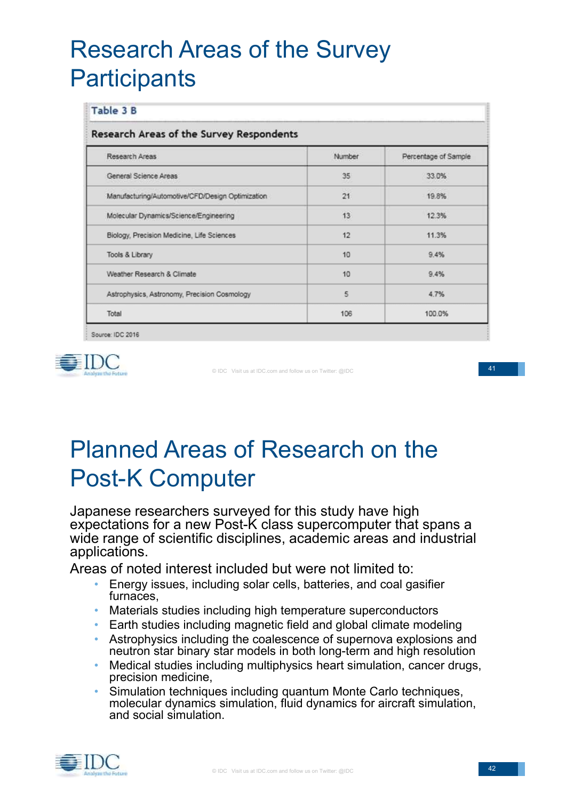## Research Areas of the Survey **Participants**

| Research Areas of the Survey Respondents         |        |                      |  |  |
|--------------------------------------------------|--------|----------------------|--|--|
| Research Areas                                   | Number | Percentage of Sample |  |  |
| General Science Areas                            | 35     | 33.0%                |  |  |
| Manufacturing/Automotive/CFD/Design Optimization | 21     | 19.8%                |  |  |
| Molecular Dynamics/Science/Engineering           | 13     | 12.3%                |  |  |
| Biology, Precision Medicine, Life Sciences       | 12     | 11.3%                |  |  |
| Tools & Library                                  | 10     | 9.4%                 |  |  |
| Weather Research & Climate                       | 10     | 9.4%                 |  |  |
| Astrophysics, Astronomy, Precision Cosmology     | 5      | 4.7%                 |  |  |
| Total                                            | 106    | 100.0%               |  |  |

Source: IDC 2016



© IDC Visit us at IDC.com and follow us on Twitter: @IDC

41

## Planned Areas of Research on the Post-K Computer

Japanese researchers surveyed for this study have high expectations for a new Post-K class supercomputer that spans a wide range of scientific disciplines, academic areas and industrial applications.

Areas of noted interest included but were not limited to:

- Energy issues, including solar cells, batteries, and coal gasifier furnaces,
- Materials studies including high temperature superconductors
- Earth studies including magnetic field and global climate modeling
- Astrophysics including the coalescence of supernova explosions and neutron star binary star models in both long-term and high resolution
- Medical studies including multiphysics heart simulation, cancer drugs, precision medicine,
- Simulation techniques including quantum Monte Carlo techniques, molecular dynamics simulation, fluid dynamics for aircraft simulation, and social simulation.

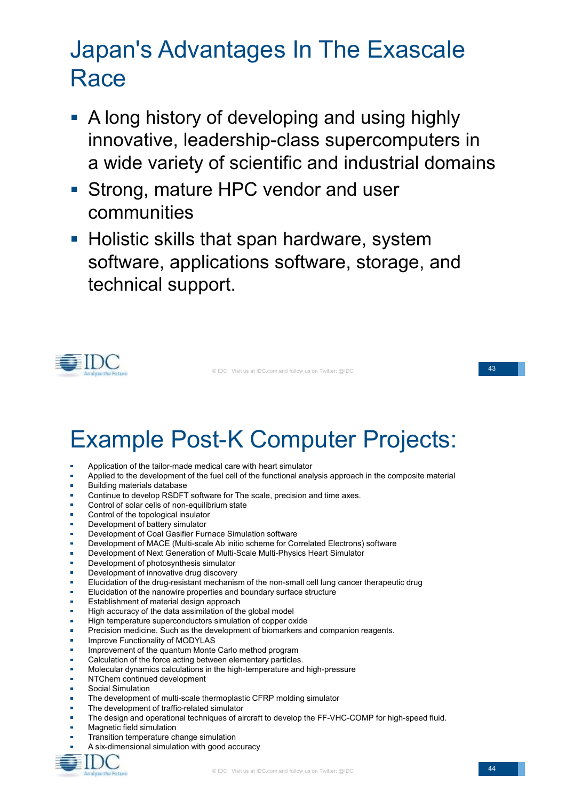## Japan's Advantages In The Exascale **Race**

- **A long history of developing and using highly** innovative, leadership-class supercomputers in a wide variety of scientific and industrial domains
- Strong, mature HPC vendor and user communities
- Holistic skills that span hardware, system  $\mathbb{R}^3$ software, applications software, storage, and technical support.



© IDC Visit us at IDC.com and follow us on Twitter: @IDC

43

## Example Post-K Computer Projects:

- $\overline{a}$ Application of the tailor-made medical care with heart simulator
- Applied to the development of the fuel cell of the functional analysis approach in the composite material
- Building materials database
- Continue to develop RSDFT software for The scale, precision and time axes.  $\mathbf{r}$
- Control of solar cells of non-equilibrium state
- Control of the topological insulator
- Development of battery simulator
- Development of Coal Gasifier Furnace Simulation software
- Development of MACE (Multi-scale Ab initio scheme for Correlated Electrons) software
- Development of Next Generation of Multi-Scale Multi-Physics Heart Simulator
- Development of photosynthesis simulator
- $\mathbf{r}$ Development of innovative drug discovery
- $\overline{\mathbf{r}}$ Elucidation of the drug-resistant mechanism of the non-small cell lung cancer therapeutic drug
- Elucidation of the nanowire properties and boundary surface structure
- à. Establishment of material design approach
- High accuracy of the data assimilation of the global model
- High temperature superconductors simulation of copper oxide
- $\overline{\mathbf{r}}$ Precision medicine. Such as the development of biomarkers and companion reagents.
- Improve Functionality of MODYLAS
- Improvement of the quantum Monte Carlo method program
- $\mathbf{r}$ Calculation of the force acting between elementary particles.
- Molecular dynamics calculations in the high-temperature and high-pressure
- NTChem continued development
- Social Simulation
- The development of multi-scale thermoplastic CFRP molding simulator
- The development of traffic-related simulator
- The design and operational techniques of aircraft to develop the FF-VHC-COMP for high-speed fluid.
- $\blacksquare$ Magnetic field simulation
- Transition temperature change simulation
- A six-dimensional simulation with good accuracy